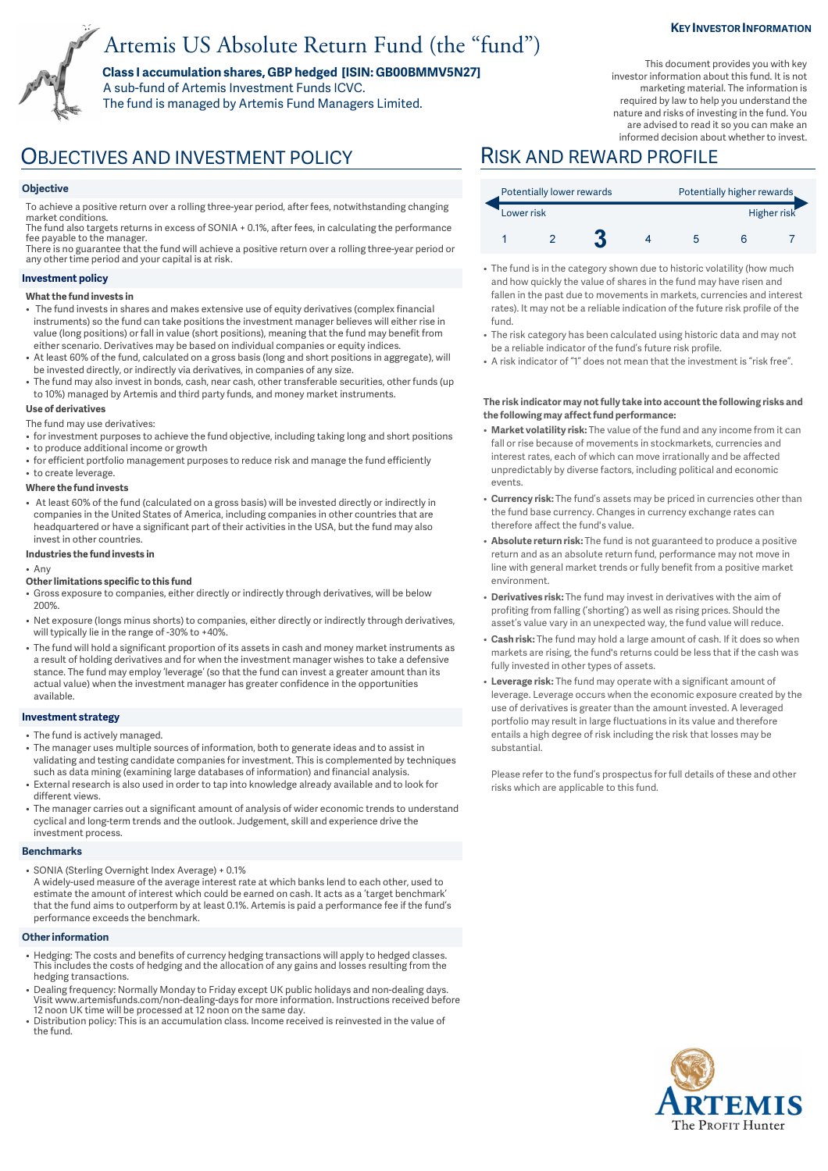# Artemis US Absolute Return Fund (the "fund")

**Class I accumulation shares, GBP hedged [ISIN: GB00BMMV5N27]**  A sub-fund of Artemis Investment Funds ICVC.

The fund is managed by Artemis Fund Managers Limited.

#### **KEY INVESTOR INFORMATION**

This document provides you with key investor information about this fund. It is not marketing material. The information is required by law to help you understand the nature and risks of investing in the fund. You are advised to read it so you can make an informed decision about whether to invest.

OBJECTIVES AND INVESTMENT POLICY RISK AND REWARD PROFILE

#### **Objective**

To achieve a positive return over a rolling three-year period, after fees, notwithstanding changing market conditions.

The fund also targets returns in excess of SONIA + 0.1%, after fees, in calculating the performance fee payable to the manager. There is no guarantee that the fund will achieve a positive return over a rolling three-year period or

any other time period and your capital is at risk.

#### **Investment policy**

#### **What the fund invests in**

- The fund invests in shares and makes extensive use of equity derivatives (complex financial instruments) so the fund can take positions the investment manager believes will either rise in value (long positions) or fall in value (short positions), meaning that the fund may benefit from either scenario. Derivatives may be based on individual companies or equity indices.
- At least 60% of the fund, calculated on a gross basis (long and short positions in aggregate), will be invested directly, or indirectly via derivatives, in companies of any size.
- The fund may also invest in bonds, cash, near cash, other transferable securities, other funds (up to 10%) managed by Artemis and third party funds, and money market instruments.

#### **Use of derivatives**

The fund may use derivatives:

- for investment purposes to achieve the fund objective, including taking long and short positions
- to produce additional income or growth
- for efficient portfolio management purposes to reduce risk and manage the fund efficiently
- to create leverage.

#### **Where the fund invests**

• At least 60% of the fund (calculated on a gross basis) will be invested directly or indirectly in companies in the United States of America, including companies in other countries that are headquartered or have a significant part of their activities in the USA, but the fund may also invest in other countries.

#### **Industries the fund invests in**

#### • Any

- **Other limitations specific to this fund**
- Gross exposure to companies, either directly or indirectly through derivatives, will be below 200%.
- Net exposure (longs minus shorts) to companies, either directly or indirectly through derivatives, will typically lie in the range of -30% to +40%.
- The fund will hold a significant proportion of its assets in cash and money market instruments as a result of holding derivatives and for when the investment manager wishes to take a defensive stance. The fund may employ 'leverage' (so that the fund can invest a greater amount than its actual value) when the investment manager has greater confidence in the opportunities available.

#### **Investment strategy**

- The fund is actively managed.
- The manager uses multiple sources of information, both to generate ideas and to assist in validating and testing candidate companies for investment. This is complemented by techniques such as data mining (examining large databases of information) and financial analysis.
- External research is also used in order to tap into knowledge already available and to look for different views.
- The manager carries out a significant amount of analysis of wider economic trends to understand cyclical and long-term trends and the outlook. Judgement, skill and experience drive the investment process.

### **Benchmarks**

• SONIA (Sterling Overnight Index Average) + 0.1%

A widely-used measure of the average interest rate at which banks lend to each other, used to estimate the amount of interest which could be earned on cash. It acts as a 'target benchmark' that the fund aims to outperform by at least 0.1%. Artemis is paid a performance fee if the fund's performance exceeds the benchmark.

### **Other information**

- Hedging: The costs and benefits of currency hedging transactions will apply to hedged classes. This includes the costs of hedging and the allocation of any gains and losses resulting from the hedging transactions.
- Dealing frequency: Normally Monday to Friday except UK public holidays and non-dealing days. Visit www.artemisfunds.com/non-dealing-days for more information. Instructions received before 12 noon UK time will be processed at 12 noon on the same day.
- Distribution policy: This is an accumulation class. Income received is reinvested in the value of the fund.

| Potentially lower rewards |  |  |  | Potentially higher rewards |  |             |  |
|---------------------------|--|--|--|----------------------------|--|-------------|--|
| Lower risk                |  |  |  |                            |  | Higher risk |  |
|                           |  |  |  |                            |  |             |  |

- The fund is in the category shown due to historic volatility (how much and how quickly the value of shares in the fund may have risen and fallen in the past due to movements in markets, currencies and interest rates). It may not be a reliable indication of the future risk profile of the fund.
- The risk category has been calculated using historic data and may not be a reliable indicator of the fund's future risk profile.
- A risk indicator of "1" does not mean that the investment is "risk free".

#### **The risk indicator may not fully take into account the following risks and the following may affect fund performance:**

- **Market volatility risk:** The value of the fund and any income from it can fall or rise because of movements in stockmarkets, currencies and interest rates, each of which can move irrationally and be affected unpredictably by diverse factors, including political and economic events.
- **Currency risk:** The fund's assets may be priced in currencies other than the fund base currency. Changes in currency exchange rates can therefore affect the fund's value.
- **Absolute return risk:** The fund is not guaranteed to produce a positive return and as an absolute return fund, performance may not move in line with general market trends or fully benefit from a positive market environment.
- **Derivatives risk:** The fund may invest in derivatives with the aim of profiting from falling ('shorting') as well as rising prices. Should the asset's value vary in an unexpected way, the fund value will reduce.
- **Cash risk:** The fund may hold a large amount of cash. If it does so when markets are rising, the fund's returns could be less that if the cash was fully invested in other types of assets.
- **Leverage risk:** The fund may operate with a significant amount of leverage. Leverage occurs when the economic exposure created by the use of derivatives is greater than the amount invested. A leveraged portfolio may result in large fluctuations in its value and therefore entails a high degree of risk including the risk that losses may be substantial.

Please refer to the fund's prospectus for full details of these and other risks which are applicable to this fund.